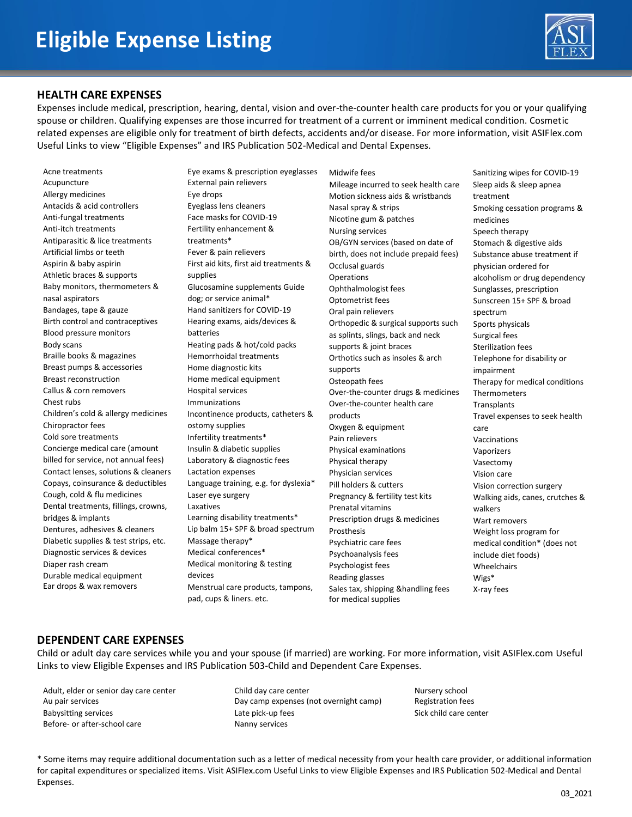

#### **HEALTH CARE EXPENSES**

Expenses include medical, prescription, hearing, dental, vision and over-the-counter health care products for you or your qualifying spouse or children. Qualifying expenses are those incurred for treatment of a current or imminent medical condition. Cosmetic related expenses are eligible only for treatment of birth defects, accidents and/or disease. For more information, visit ASIFlex.com Useful Links to view "Eligible Expenses" and IRS Publication 502-Medical and Dental Expenses.

Acne treatments Acupuncture Allergy medicines Antacids & acid controllers Anti-fungal treatments Anti-itch treatments Antiparasitic & lice treatments Artificial limbs or teeth Aspirin & baby aspirin Athletic braces & supports Baby monitors, thermometers & nasal aspirators Bandages, tape & gauze Birth control and contraceptives Blood pressure monitors Body scans Braille books & magazines Breast pumps & accessories Breast reconstruction Callus & corn removers Chest rubs Children's cold & allergy medicines Chiropractor fees Cold sore treatments Concierge medical care (amount billed for service, not annual fees) Contact lenses, solutions & cleaners Copays, coinsurance & deductibles Cough, cold & flu medicines Dental treatments, fillings, crowns, bridges & implants Dentures, adhesives & cleaners Diabetic supplies & test strips, etc. Diagnostic services & devices Diaper rash cream Durable medical equipment Ear drops & wax removers

Eye exams & prescription eyeglasses External pain relievers Eye drops Eyeglass lens cleaners Face masks for COVID-19 Fertility enhancement & treatments\* Fever & pain relievers First aid kits, first aid treatments & supplies Glucosamine supplements Guide dog; or service animal\* Hand sanitizers for COVID-19 Hearing exams, aids/devices & batteries Heating pads & hot/cold packs Hemorrhoidal treatments Home diagnostic kits Home medical equipment Hospital services Immunizations Incontinence products, catheters & ostomy supplies Infertility treatments\* Insulin & diabetic supplies Laboratory & diagnostic fees Lactation expenses Language training, e.g. for dyslexia\* Laser eye surgery Laxatives Learning disability treatments\* Lip balm 15+ SPF & broad spectrum Massage therapy\* Medical conferences\* Medical monitoring & testing devices Menstrual care products, tampons, pad, cups & liners. etc.

Midwife fees Mileage incurred to seek health care Motion sickness aids & wristbands Nasal spray & strips Nicotine gum & patches Nursing services OB/GYN services (based on date of birth, does not include prepaid fees) Occlusal guards Operations Ophthalmologist fees Optometrist fees Oral pain relievers Orthopedic & surgical supports such as splints, slings, back and neck supports & joint braces Orthotics such as insoles & arch supports Osteopath fees Over-the-counter drugs & medicines Over-the-counter health care products Oxygen & equipment Pain relievers Physical examinations Physical therapy Physician services Pill holders & cutters Pregnancy & fertility test kits Prenatal vitamins Prescription drugs & medicines **Prosthesis** Psychiatric care fees Psychoanalysis fees Psychologist fees Reading glasses Sales tax, shipping &handling fees for medical supplies

Sanitizing wipes for COVID-19 Sleep aids & sleep apnea treatment Smoking cessation programs & medicines Speech therapy Stomach & digestive aids Substance abuse treatment if physician ordered for alcoholism or drug dependency Sunglasses, prescription Sunscreen 15+ SPF & broad spectrum Sports physicals Surgical fees Sterilization fees Telephone for disability or impairment Therapy for medical conditions Thermometers **Transplants** Travel expenses to seek health care Vaccinations Vaporizers Vasectomy Vision care Vision correction surgery Walking aids, canes, crutches & walkers Wart removers Weight loss program for medical condition\* (does not include diet foods) Wheelchairs Wigs\* X-ray fees

### **DEPENDENT CARE EXPENSES**

Child or adult day care services while you and your spouse (if married) are working. For more information, visit ASIFlex.com Useful Links to view Eligible Expenses and IRS Publication 503-Child and Dependent Care Expenses.

Adult, elder or senior day care center Au pair services Babysitting services Before- or after-school care

Child day care center Day camp expenses (not overnight camp) Late pick-up fees Nanny services

Nursery school Registration fees Sick child care center

\* Some items may require additional documentation such as a letter of medical necessity from your health care provider, or additional information for capital expenditures or specialized items. Visit ASIFlex.com Useful Links to view Eligible Expenses and IRS Publication 502-Medical and Dental Expenses.